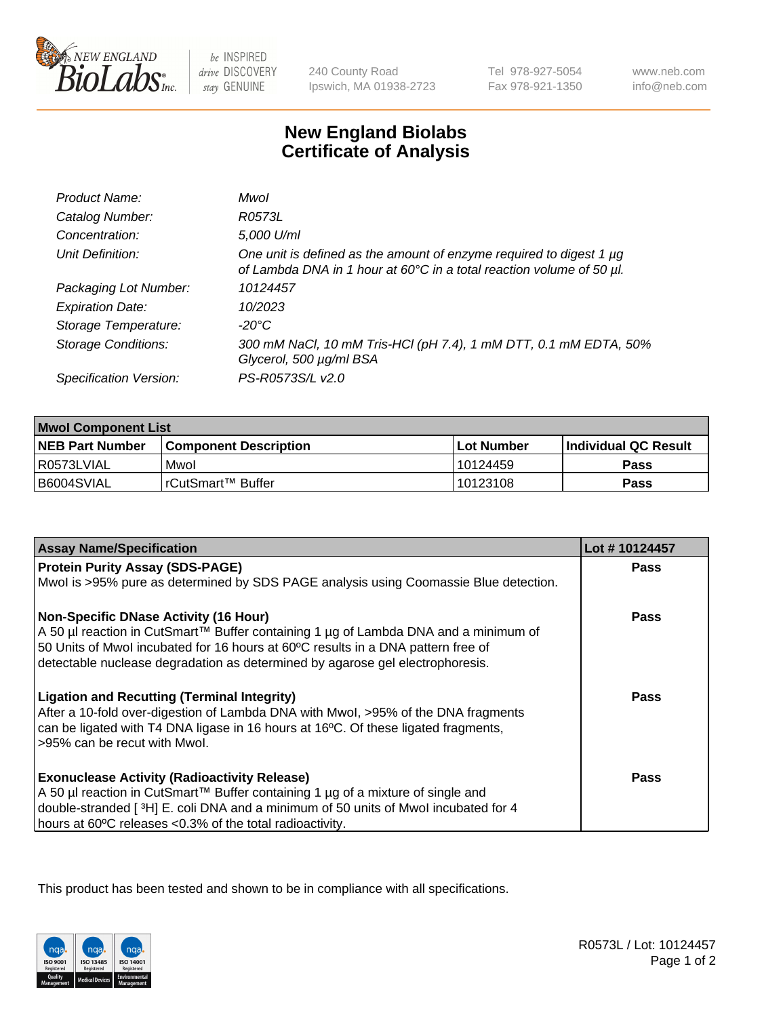

 $be$  INSPIRED drive DISCOVERY stay GENUINE

240 County Road Ipswich, MA 01938-2723 Tel 978-927-5054 Fax 978-921-1350

www.neb.com info@neb.com

## **New England Biolabs Certificate of Analysis**

| Product Name:              | Mwol                                                                                                                                        |
|----------------------------|---------------------------------------------------------------------------------------------------------------------------------------------|
| Catalog Number:            | R0573L                                                                                                                                      |
| Concentration:             | 5,000 U/ml                                                                                                                                  |
| Unit Definition:           | One unit is defined as the amount of enzyme required to digest 1 µg<br>of Lambda DNA in 1 hour at 60°C in a total reaction volume of 50 µl. |
| Packaging Lot Number:      | 10124457                                                                                                                                    |
| <b>Expiration Date:</b>    | 10/2023                                                                                                                                     |
| Storage Temperature:       | $-20^{\circ}$ C                                                                                                                             |
| <b>Storage Conditions:</b> | 300 mM NaCl, 10 mM Tris-HCl (pH 7.4), 1 mM DTT, 0.1 mM EDTA, 50%<br>Glycerol, 500 µg/ml BSA                                                 |
| Specification Version:     | PS-R0573S/L v2.0                                                                                                                            |

| <b>Mwol Component List</b> |                         |              |                             |  |
|----------------------------|-------------------------|--------------|-----------------------------|--|
| <b>NEB Part Number</b>     | l Component Description | l Lot Number | <b>Individual QC Result</b> |  |
| I R0573LVIAL               | Mwol                    | l 10124459   | Pass                        |  |
| I B6004SVIAL               | l rCutSmart™ Buffer_    | 10123108     | Pass                        |  |

| <b>Assay Name/Specification</b>                                                                                                                                                                                                                                                                          | Lot #10124457 |
|----------------------------------------------------------------------------------------------------------------------------------------------------------------------------------------------------------------------------------------------------------------------------------------------------------|---------------|
| <b>Protein Purity Assay (SDS-PAGE)</b>                                                                                                                                                                                                                                                                   | <b>Pass</b>   |
| Mwol is >95% pure as determined by SDS PAGE analysis using Coomassie Blue detection.                                                                                                                                                                                                                     |               |
| <b>Non-Specific DNase Activity (16 Hour)</b><br>A 50 µl reaction in CutSmart™ Buffer containing 1 µg of Lambda DNA and a minimum of<br>50 Units of Mwol incubated for 16 hours at 60°C results in a DNA pattern free of<br>detectable nuclease degradation as determined by agarose gel electrophoresis. | Pass          |
| <b>Ligation and Recutting (Terminal Integrity)</b><br>After a 10-fold over-digestion of Lambda DNA with Mwol, >95% of the DNA fragments<br>can be ligated with T4 DNA ligase in 16 hours at 16°C. Of these ligated fragments,<br>>95% can be recut with Mwol.                                            | Pass          |
| <b>Exonuclease Activity (Radioactivity Release)</b><br>A 50 µl reaction in CutSmart™ Buffer containing 1 µg of a mixture of single and<br>double-stranded [3H] E. coli DNA and a minimum of 50 units of Mwol incubated for 4<br>hours at 60°C releases <0.3% of the total radioactivity.                 | Pass          |

This product has been tested and shown to be in compliance with all specifications.